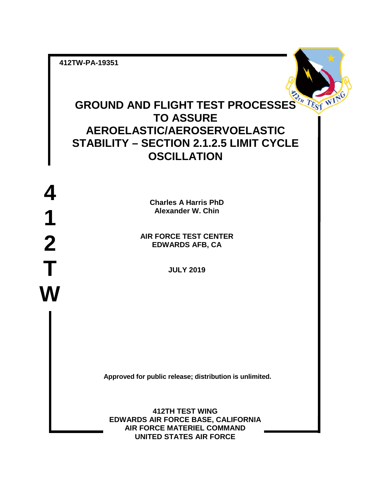**412TW-PA-19351**

# **GROUND AND FLIGHT TEST PROCESSES**  $T_{\ell_{\text{S1}}}$   $T_{\ell_{\text{S1}}}$   $W_{\ell_{\text{S2}}}$ **TO ASSURE AEROELASTIC/AEROSERVOELASTIC STABILITY – SECTION 2.1.2.5 LIMIT CYCLE OSCILLATION**

**4 1 2 T W**

**Charles A Harris PhD Alexander W. Chin**

**AIR FORCE TEST CENTER EDWARDS AFB, CA**

**JULY 2019**

**Approved for public release; distribution is unlimited.**

**412TH TEST WING EDWARDS AIR FORCE BASE, CALIFORNIA AIR FORCE MATERIEL COMMAND UNITED STATES AIR FORCE**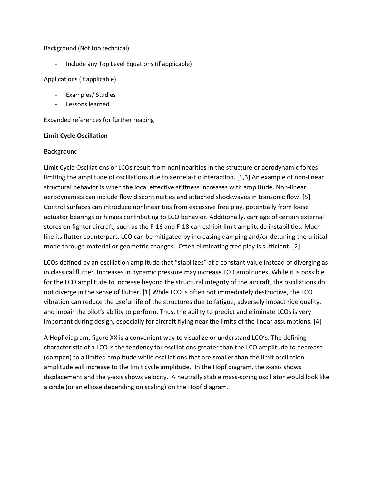#### Background (Not too technical)

- Include any Top Level Equations (if applicable)

#### Applications (if applicable)

- Examples/ Studies
- Lessons learned

Expanded references for further reading

## **Limit Cycle Oscillation**

## Background

Limit Cycle Oscillations or LCOs result from nonlinearities in the structure or aerodynamic forces limiting the amplitude of oscillations due to aeroelastic interaction. [1,3] An example of non-linear structural behavior is when the local effective stiffness increases with amplitude. Non-linear aerodynamics can include flow discontinuities and attached shockwaves in transonic flow. [5] Control surfaces can introduce nonlinearities from excessive free play, potentially from loose actuator bearings or hinges contributing to LCO behavior. Additionally, carriage of certain external stores on fighter aircraft, such as the F-16 and F-18 can exhibit limit amplitude instabilities. Much like its flutter counterpart, LCO can be mitigated by increasing damping and/or detuning the critical mode through material or geometric changes. Often eliminating free play is sufficient. [2]

LCOs defined by an oscillation amplitude that "stabilizes" at a constant value instead of diverging as in classical flutter. Increases in dynamic pressure may increase LCO amplitudes. While it is possible for the LCO amplitude to increase beyond the structural integrity of the aircraft, the oscillations do not diverge in the sense of flutter. [1] While LCO is often not immediately destructive, the LCO vibration can reduce the useful life of the structures due to fatigue, adversely impact ride quality, and impair the pilot's ability to perform. Thus, the ability to predict and eliminate LCOs is very important during design, especially for aircraft flying near the limits of the linear assumptions. [4]

A Hopf diagram, figure XX is a convenient way to visualize or understand LCO's. The defining characteristic of a LCO is the tendency for oscillations greater than the LCO amplitude to decrease (dampen) to a limited amplitude while oscillations that are smaller than the limit oscillation amplitude will increase to the limit cycle amplitude. In the Hopf diagram, the x-axis shows displacement and the y-axis shows velocity. A neutrally stable mass-spring oscillator would look like a circle (or an ellipse depending on scaling) on the Hopf diagram.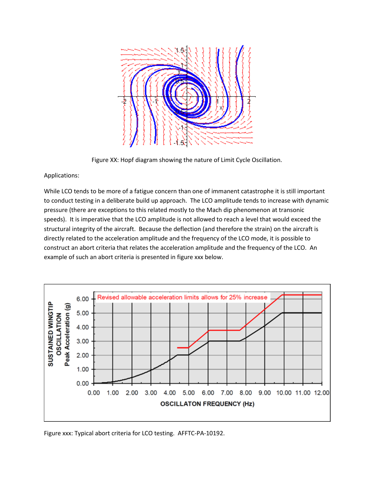

Figure XX: Hopf diagram showing the nature of Limit Cycle Oscillation.

Applications:

While LCO tends to be more of a fatigue concern than one of immanent catastrophe it is still important to conduct testing in a deliberate build up approach. The LCO amplitude tends to increase with dynamic pressure (there are exceptions to this related mostly to the Mach dip phenomenon at transonic speeds). It is imperative that the LCO amplitude is not allowed to reach a level that would exceed the structural integrity of the aircraft. Because the deflection (and therefore the strain) on the aircraft is directly related to the acceleration amplitude and the frequency of the LCO mode, it is possible to construct an abort criteria that relates the acceleration amplitude and the frequency of the LCO. An example of such an abort criteria is presented in figure xxx below.



Figure xxx: Typical abort criteria for LCO testing. AFFTC-PA-10192.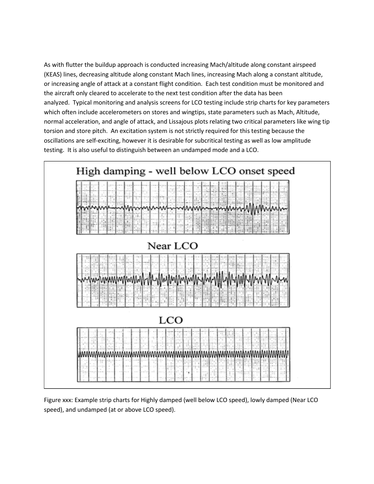As with flutter the buildup approach is conducted increasing Mach/altitude along constant airspeed (KEAS) lines, decreasing altitude along constant Mach lines, increasing Mach along a constant altitude, or increasing angle of attack at a constant flight condition. Each test condition must be monitored and the aircraft only cleared to accelerate to the next test condition after the data has been analyzed. Typical monitoring and analysis screens for LCO testing include strip charts for key parameters which often include accelerometers on stores and wingtips, state parameters such as Mach, Altitude, normal acceleration, and angle of attack, and Lissajous plots relating two critical parameters like wing tip torsion and store pitch. An excitation system is not strictly required for this testing because the oscillations are self-exciting, however it is desirable for subcritical testing as well as low amplitude testing. It is also useful to distinguish between an undamped mode and a LCO.



Figure xxx: Example strip charts for Highly damped (well below LCO speed), lowly damped (Near LCO speed), and undamped (at or above LCO speed).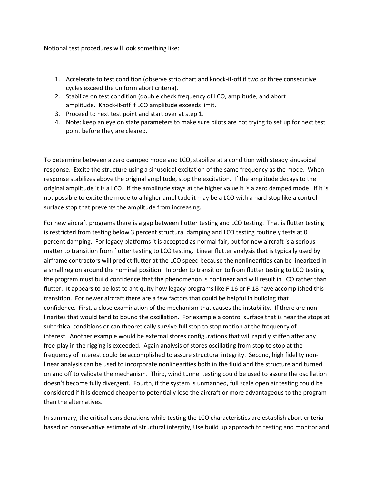Notional test procedures will look something like:

- 1. Accelerate to test condition (observe strip chart and knock-it-off if two or three consecutive cycles exceed the uniform abort criteria).
- 2. Stabilize on test condition (double check frequency of LCO, amplitude, and abort amplitude. Knock-it-off if LCO amplitude exceeds limit.
- 3. Proceed to next test point and start over at step 1.
- 4. Note: keep an eye on state parameters to make sure pilots are not trying to set up for next test point before they are cleared.

To determine between a zero damped mode and LCO, stabilize at a condition with steady sinusoidal response. Excite the structure using a sinusoidal excitation of the same frequency as the mode. When response stabilizes above the original amplitude, stop the excitation. If the amplitude decays to the original amplitude it is a LCO. If the amplitude stays at the higher value it is a zero damped mode. If it is not possible to excite the mode to a higher amplitude it may be a LCO with a hard stop like a control surface stop that prevents the amplitude from increasing.

For new aircraft programs there is a gap between flutter testing and LCO testing. That is flutter testing is restricted from testing below 3 percent structural damping and LCO testing routinely tests at 0 percent damping. For legacy platforms it is accepted as normal fair, but for new aircraft is a serious matter to transition from flutter testing to LCO testing. Linear flutter analysis that is typically used by airframe contractors will predict flutter at the LCO speed because the nonlinearities can be linearized in a small region around the nominal position. In order to transition to from flutter testing to LCO testing the program must build confidence that the phenomenon is nonlinear and will result in LCO rather than flutter. It appears to be lost to antiquity how legacy programs like F-16 or F-18 have accomplished this transition. For newer aircraft there are a few factors that could be helpful in building that confidence. First, a close examination of the mechanism that causes the instability. If there are nonlinarites that would tend to bound the oscillation. For example a control surface that is near the stops at subcritical conditions or can theoretically survive full stop to stop motion at the frequency of interest. Another example would be external stores configurations that will rapidly stiffen after any free-play in the rigging is exceeded. Again analysis of stores oscillating from stop to stop at the frequency of interest could be accomplished to assure structural integrity. Second, high fidelity nonlinear analysis can be used to incorporate nonlinearities both in the fluid and the structure and turned on and off to validate the mechanism. Third, wind tunnel testing could be used to assure the oscillation doesn't become fully divergent. Fourth, if the system is unmanned, full scale open air testing could be considered if it is deemed cheaper to potentially lose the aircraft or more advantageous to the program than the alternatives.

In summary, the critical considerations while testing the LCO characteristics are establish abort criteria based on conservative estimate of structural integrity, Use build up approach to testing and monitor and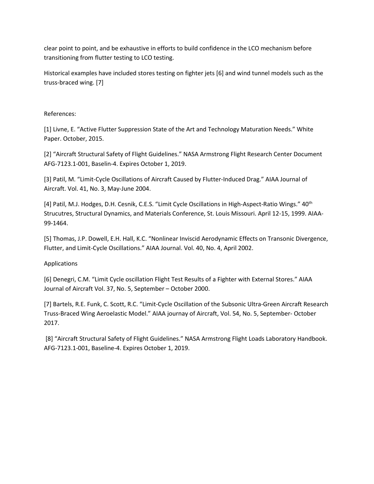clear point to point, and be exhaustive in efforts to build confidence in the LCO mechanism before transitioning from flutter testing to LCO testing.

Historical examples have included stores testing on fighter jets [6] and wind tunnel models such as the truss-braced wing. [7]

## References:

[1] Livne, E. "Active Flutter Suppression State of the Art and Technology Maturation Needs." White Paper. October, 2015.

[2] "Aircraft Structural Safety of Flight Guidelines." NASA Armstrong Flight Research Center Document AFG-7123.1-001, Baselin-4. Expires October 1, 2019.

[3] Patil, M. "Limit-Cycle Oscillations of Aircraft Caused by Flutter-Induced Drag." AIAA Journal of Aircraft. Vol. 41, No. 3, May-June 2004.

[4] Patil, M.J. Hodges, D.H. Cesnik, C.E.S. "Limit Cycle Oscillations in High-Aspect-Ratio Wings." 40<sup>th</sup> Strucutres, Structural Dynamics, and Materials Conference, St. Louis Missouri. April 12-15, 1999. AIAA-99-1464.

[5] Thomas, J.P. Dowell, E.H. Hall, K.C. "Nonlinear Inviscid Aerodynamic Effects on Transonic Divergence, Flutter, and Limit-Cycle Oscillations." AIAA Journal. Vol. 40, No. 4, April 2002.

## Applications

[6] Denegri, C.M. "Limit Cycle oscillation Flight Test Results of a Fighter with External Stores." AIAA Journal of Aircraft Vol. 37, No. 5, September – October 2000.

[7] Bartels, R.E. Funk, C. Scott, R.C. "Limit-Cycle Oscillation of the Subsonic Ultra-Green Aircraft Research Truss-Braced Wing Aeroelastic Model." AIAA journay of Aircraft, Vol. 54, No. 5, September- October 2017.

[8] "Aircraft Structural Safety of Flight Guidelines." NASA Armstrong Flight Loads Laboratory Handbook. AFG-7123.1-001, Baseline-4. Expires October 1, 2019.